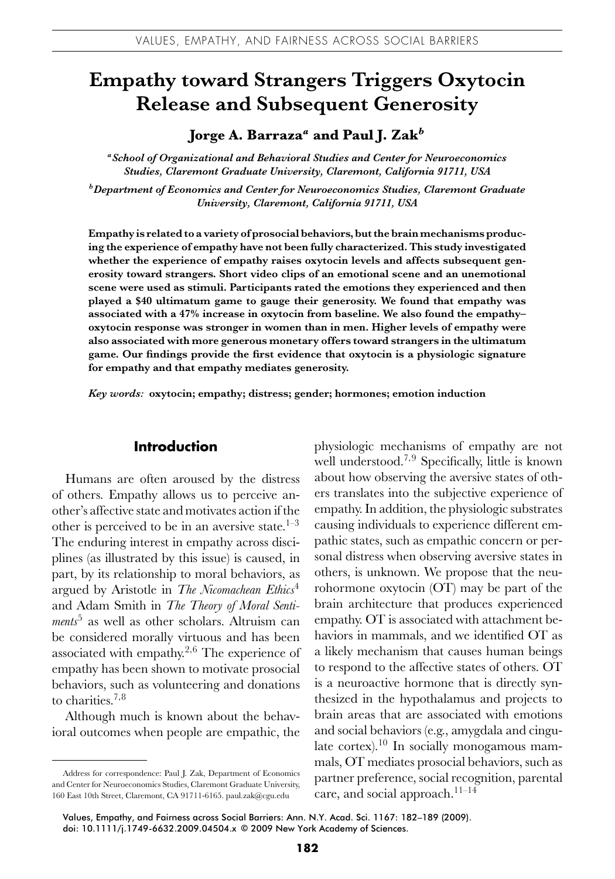# **Empathy toward Strangers Triggers Oxytocin Release and Subsequent Generosity**

**Jorge A. Barraza***<sup>a</sup>* **and Paul J. Zak***<sup>b</sup>*

*aSchool of Organizational and Behavioral Studies and Center for Neuroeconomics Studies, Claremont Graduate University, Claremont, California 91711, USA*

*bDepartment of Economics and Center for Neuroeconomics Studies, Claremont Graduate University, Claremont, California 91711, USA*

**Empathy is related to a variety of prosocial behaviors, but the brain mechanisms producing the experience of empathy have not been fully characterized. This study investigated whether the experience of empathy raises oxytocin levels and affects subsequent generosity toward strangers. Short video clips of an emotional scene and an unemotional scene were used as stimuli. Participants rated the emotions they experienced and then played a \$40 ultimatum game to gauge their generosity. We found that empathy was associated with a 47% increase in oxytocin from baseline. We also found the empathy– oxytocin response was stronger in women than in men. Higher levels of empathy were also associated with more generous monetary offers toward strangers in the ultimatum game. Our findings provide the first evidence that oxytocin is a physiologic signature for empathy and that empathy mediates generosity.**

*Key words:* **oxytocin; empathy; distress; gender; hormones; emotion induction**

# **Introduction**

Humans are often aroused by the distress of others. Empathy allows us to perceive another's affective state and motivates action if the other is perceived to be in an aversive state. $1-3$ The enduring interest in empathy across disciplines (as illustrated by this issue) is caused, in part, by its relationship to moral behaviors, as argued by Aristotle in *The Nicomachean Ethics*<sup>4</sup> and Adam Smith in *The Theory of Moral Sentiments*<sup>5</sup> as well as other scholars. Altruism can be considered morally virtuous and has been associated with empathy.2,<sup>6</sup> The experience of empathy has been shown to motivate prosocial behaviors, such as volunteering and donations to charities.<sup>7,8</sup>

Although much is known about the behavioral outcomes when people are empathic, the

physiologic mechanisms of empathy are not well understood.7,<sup>9</sup> Specifically, little is known about how observing the aversive states of others translates into the subjective experience of empathy. In addition, the physiologic substrates causing individuals to experience different empathic states, such as empathic concern or personal distress when observing aversive states in others, is unknown. We propose that the neurohormone oxytocin (OT) may be part of the brain architecture that produces experienced empathy. OT is associated with attachment behaviors in mammals, and we identified OT as a likely mechanism that causes human beings to respond to the affective states of others. OT is a neuroactive hormone that is directly synthesized in the hypothalamus and projects to brain areas that are associated with emotions and social behaviors (e.g., amygdala and cingulate cortex).<sup>10</sup> In socially monogamous mammals, OT mediates prosocial behaviors, such as partner preference, social recognition, parental care, and social approach. $11-14$ 

Address for correspondence: Paul J. Zak, Department of Economics and Center for Neuroeconomics Studies, Claremont Graduate University, 160 East 10th Street, Claremont, CA 91711-6165. paul.zak@cgu.edu

Values, Empathy, and Fairness across Social Barriers: Ann. N.Y. Acad. Sci. 1167: 182–189 (2009). doi: 10.1111/j.1749-6632.2009.04504.x © 2009 New York Academy of Sciences.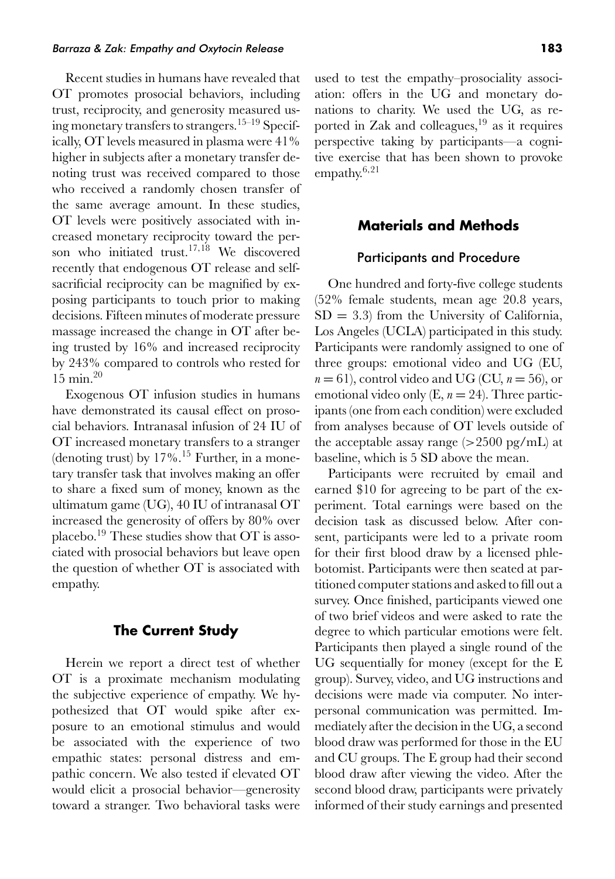Recent studies in humans have revealed that OT promotes prosocial behaviors, including trust, reciprocity, and generosity measured using monetary transfers to strangers.<sup>15–19</sup> Specifically, OT levels measured in plasma were 41% higher in subjects after a monetary transfer denoting trust was received compared to those who received a randomly chosen transfer of the same average amount. In these studies, OT levels were positively associated with increased monetary reciprocity toward the person who initiated trust. $17,18$  We discovered recently that endogenous OT release and selfsacrificial reciprocity can be magnified by exposing participants to touch prior to making decisions. Fifteen minutes of moderate pressure massage increased the change in OT after being trusted by 16% and increased reciprocity by 243% compared to controls who rested for  $15 \,\mathrm{min.}^{20}$ 

Exogenous OT infusion studies in humans have demonstrated its causal effect on prosocial behaviors. Intranasal infusion of 24 IU of OT increased monetary transfers to a stranger (denoting trust) by  $17\%$ .<sup>15</sup> Further, in a monetary transfer task that involves making an offer to share a fixed sum of money, known as the ultimatum game (UG), 40 IU of intranasal OT increased the generosity of offers by 80% over placebo.<sup>19</sup> These studies show that  $\overline{OT}$  is associated with prosocial behaviors but leave open the question of whether OT is associated with empathy.

# **The Current Study**

Herein we report a direct test of whether OT is a proximate mechanism modulating the subjective experience of empathy. We hypothesized that OT would spike after exposure to an emotional stimulus and would be associated with the experience of two empathic states: personal distress and empathic concern. We also tested if elevated OT would elicit a prosocial behavior—generosity toward a stranger. Two behavioral tasks were

used to test the empathy–prosociality association: offers in the UG and monetary donations to charity. We used the UG, as reported in Zak and colleagues, $19$  as it requires perspective taking by participants—a cognitive exercise that has been shown to provoke empathy. $6,21$ 

# **Materials and Methods**

# Participants and Procedure

One hundred and forty-five college students (52% female students, mean age 20.8 years,  $SD = 3.3$  from the University of California, Los Angeles (UCLA) participated in this study. Participants were randomly assigned to one of three groups: emotional video and UG (EU,  $n = 61$ , control video and UG (CU,  $n = 56$ ), or emotional video only  $(E, n = 24)$ . Three participants (one from each condition) were excluded from analyses because of OT levels outside of the acceptable assay range  $(>2500 \text{ pg/mL})$  at baseline, which is 5 SD above the mean.

Participants were recruited by email and earned \$10 for agreeing to be part of the experiment. Total earnings were based on the decision task as discussed below. After consent, participants were led to a private room for their first blood draw by a licensed phlebotomist. Participants were then seated at partitioned computer stations and asked to fill out a survey. Once finished, participants viewed one of two brief videos and were asked to rate the degree to which particular emotions were felt. Participants then played a single round of the UG sequentially for money (except for the E group). Survey, video, and UG instructions and decisions were made via computer. No interpersonal communication was permitted. Immediately after the decision in the UG, a second blood draw was performed for those in the EU and CU groups. The E group had their second blood draw after viewing the video. After the second blood draw, participants were privately informed of their study earnings and presented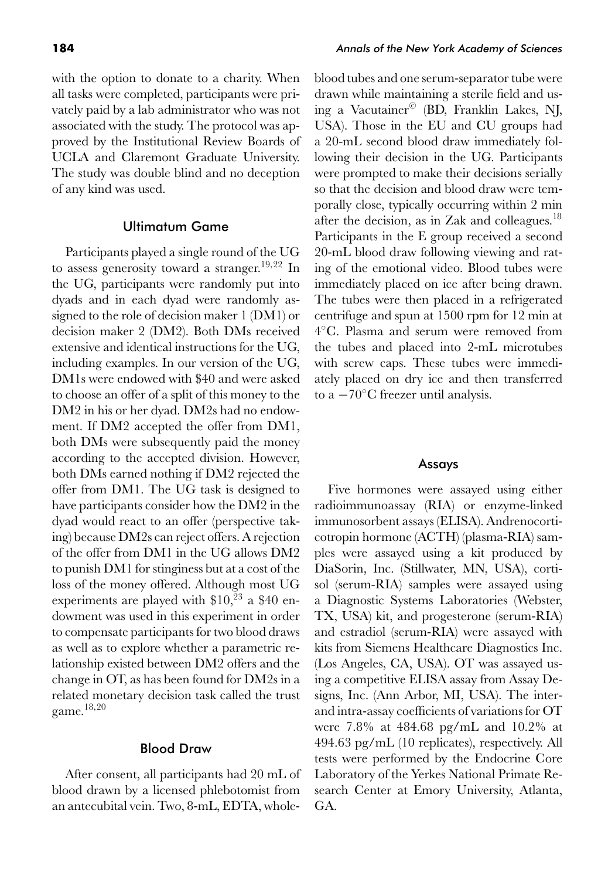with the option to donate to a charity. When all tasks were completed, participants were privately paid by a lab administrator who was not associated with the study. The protocol was approved by the Institutional Review Boards of UCLA and Claremont Graduate University. The study was double blind and no deception of any kind was used.

# Ultimatum Game

Participants played a single round of the UG to assess generosity toward a stranger.<sup>19,22</sup> In the UG, participants were randomly put into dyads and in each dyad were randomly assigned to the role of decision maker 1 (DM1) or decision maker 2 (DM2). Both DMs received extensive and identical instructions for the UG, including examples. In our version of the UG, DM1s were endowed with \$40 and were asked to choose an offer of a split of this money to the DM2 in his or her dyad. DM2s had no endowment. If DM2 accepted the offer from DM1, both DMs were subsequently paid the money according to the accepted division. However, both DMs earned nothing if DM2 rejected the offer from DM1. The UG task is designed to have participants consider how the DM2 in the dyad would react to an offer (perspective taking) because DM2s can reject offers. A rejection of the offer from DM1 in the UG allows DM2 to punish DM1 for stinginess but at a cost of the loss of the money offered. Although most UG experiments are played with  $$10,^{23}$  a \$40 endowment was used in this experiment in order to compensate participants for two blood draws as well as to explore whether a parametric relationship existed between DM2 offers and the change in OT, as has been found for DM2s in a related monetary decision task called the trust game.18,<sup>20</sup>

# Blood Draw

After consent, all participants had 20 mL of blood drawn by a licensed phlebotomist from an antecubital vein. Two, 8-mL, EDTA, wholeblood tubes and one serum-separator tube were drawn while maintaining a sterile field and using a Vacutainer<sup>©</sup> (BD, Franklin Lakes, NJ, USA). Those in the EU and CU groups had a 20-mL second blood draw immediately following their decision in the UG. Participants were prompted to make their decisions serially so that the decision and blood draw were temporally close, typically occurring within 2 min after the decision, as in Zak and colleagues. $18$ Participants in the E group received a second 20-mL blood draw following viewing and rating of the emotional video. Blood tubes were immediately placed on ice after being drawn. The tubes were then placed in a refrigerated centrifuge and spun at 1500 rpm for 12 min at 4◦C. Plasma and serum were removed from the tubes and placed into 2-mL microtubes with screw caps. These tubes were immediately placed on dry ice and then transferred to a  $-70^{\circ}$ C freezer until analysis.

## Assays

Five hormones were assayed using either radioimmunoassay (RIA) or enzyme-linked immunosorbent assays (ELISA). Andrenocorticotropin hormone (ACTH) (plasma-RIA) samples were assayed using a kit produced by DiaSorin, Inc. (Stillwater, MN, USA), cortisol (serum-RIA) samples were assayed using a Diagnostic Systems Laboratories (Webster, TX, USA) kit, and progesterone (serum-RIA) and estradiol (serum-RIA) were assayed with kits from Siemens Healthcare Diagnostics Inc. (Los Angeles, CA, USA). OT was assayed using a competitive ELISA assay from Assay Designs, Inc. (Ann Arbor, MI, USA). The interand intra-assay coefficients of variations for OT were 7.8% at 484.68 pg/mL and 10.2% at 494.63 pg/mL (10 replicates), respectively. All tests were performed by the Endocrine Core Laboratory of the Yerkes National Primate Research Center at Emory University, Atlanta, GA.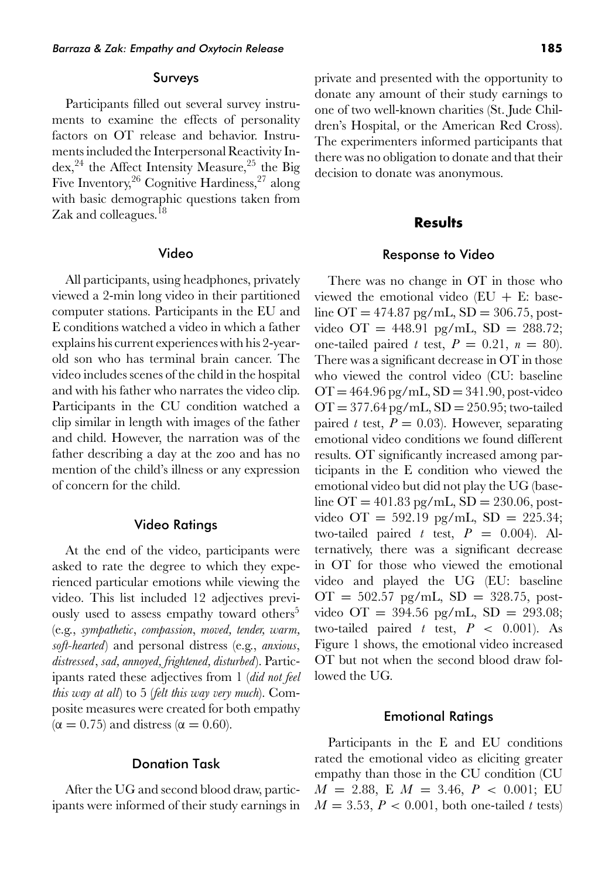#### Surveys

Participants filled out several survey instruments to examine the effects of personality factors on OT release and behavior. Instruments included the Interpersonal Reactivity In $dex$ ,<sup>24</sup> the Affect Intensity Measure,<sup>25</sup> the Big Five Inventory,  $2^6$  Cognitive Hardiness,  $2^7$  along with basic demographic questions taken from Zak and colleagues.<sup>18</sup>

# Video

All participants, using headphones, privately viewed a 2-min long video in their partitioned computer stations. Participants in the EU and E conditions watched a video in which a father explains his current experiences with his 2-yearold son who has terminal brain cancer. The video includes scenes of the child in the hospital and with his father who narrates the video clip. Participants in the CU condition watched a clip similar in length with images of the father and child. However, the narration was of the father describing a day at the zoo and has no mention of the child's illness or any expression of concern for the child.

# Video Ratings

At the end of the video, participants were asked to rate the degree to which they experienced particular emotions while viewing the video. This list included 12 adjectives previously used to assess empathy toward others<sup>5</sup> (e.g., *sympathetic*, *compassion*, *moved, tender, warm, soft-hearted*) and personal distress (e.g., *anxious*, *distressed*, *sad, annoyed, frightened, disturbed*). Participants rated these adjectives from 1 (*did not feel this way at all*) to 5 (*felt this way very much*). Composite measures were created for both empathy  $(\alpha = 0.75)$  and distress  $(\alpha = 0.60)$ .

# Donation Task

After the UG and second blood draw, participants were informed of their study earnings in private and presented with the opportunity to donate any amount of their study earnings to one of two well-known charities (St. Jude Children's Hospital, or the American Red Cross). The experimenters informed participants that there was no obligation to donate and that their decision to donate was anonymous.

## **Results**

# Response to Video

There was no change in OT in those who viewed the emotional video  $(EU + E: base$ line OT =  $474.87$  pg/mL, SD =  $306.75$ , postvideo OT = 448.91 pg/mL,  $SD = 288.72$ ; one-tailed paired *t* test,  $P = 0.21$ ,  $n = 80$ . There was a significant decrease in OT in those who viewed the control video (CU: baseline  $OT = 464.96$  pg/mL,  $SD = 341.90$ , post-video  $OT = 377.64$  pg/mL,  $SD = 250.95$ ; two-tailed paired *t* test,  $P = 0.03$ . However, separating emotional video conditions we found different results. OT significantly increased among participants in the E condition who viewed the emotional video but did not play the UG (baseline OT =  $401.83$  pg/mL, SD =  $230.06$ , postvideo OT = 592.19 pg/mL,  $SD = 225.34$ ; two-tailed paired *t* test,  $P = 0.004$ . Alternatively, there was a significant decrease in OT for those who viewed the emotional video and played the UG (EU: baseline  $OT = 502.57$  pg/mL,  $SD = 328.75$ , postvideo OT = 394.56 pg/mL,  $SD = 293.08$ ; two-tailed paired *t* test,  $P < 0.001$ ). As Figure 1 shows, the emotional video increased OT but not when the second blood draw followed the UG.

# Emotional Ratings

Participants in the E and EU conditions rated the emotional video as eliciting greater empathy than those in the CU condition (CU *M* = 2.88, E *M* = 3.46, *P* < 0.001; EU  $M = 3.53, P < 0.001$ , both one-tailed *t* tests)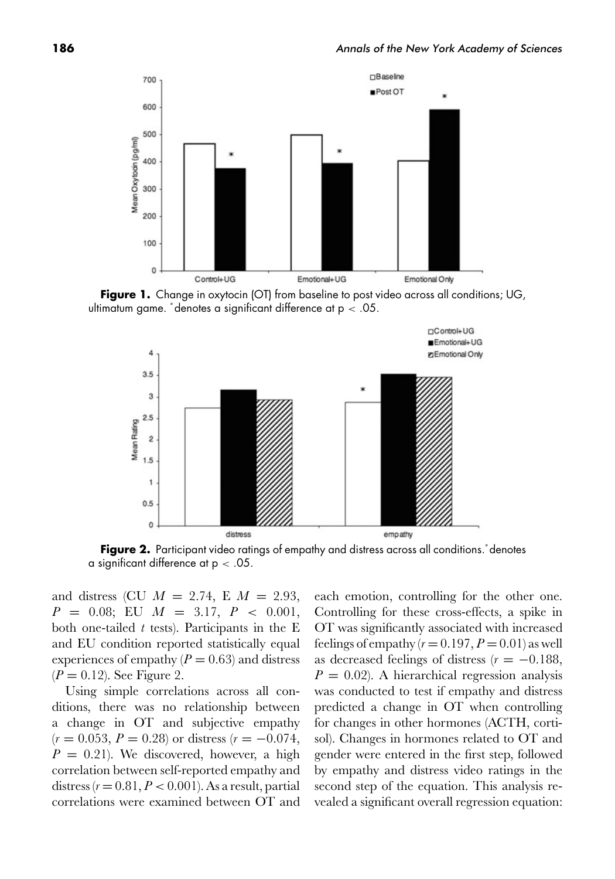

**Figure 1.** Change in oxytocin (OT) from baseline to post video across all conditions; UG, ultimatum game. <sup>∗</sup> denotes a significant difference at p < .05.



**Figure 2.** Participant video ratings of empathy and distress across all conditions.<sup>\*</sup> denotes a significant difference at  $p < .05$ .

and distress (CU  $M = 2.74$ , E  $M = 2.93$ , *P* = 0.08; EU *M* = 3.17, *P* < 0.001, both one-tailed *t* tests). Participants in the E and EU condition reported statistically equal experiences of empathy  $(P = 0.63)$  and distress  $(P = 0.12)$ . See Figure 2.

Using simple correlations across all conditions, there was no relationship between a change in OT and subjective empathy  $(r = 0.053, P = 0.28)$  or distress  $(r = -0.074,$  $P = 0.21$ . We discovered, however, a high correlation between self-reported empathy and distress  $(r = 0.81, P < 0.001)$ . As a result, partial correlations were examined between OT and each emotion, controlling for the other one. Controlling for these cross-effects, a spike in OT was significantly associated with increased feelings of empathy  $(r = 0.197, P = 0.01)$  as well as decreased feelings of distress  $(r = -0.188,$  $P = 0.02$ . A hierarchical regression analysis was conducted to test if empathy and distress predicted a change in OT when controlling for changes in other hormones (ACTH, cortisol). Changes in hormones related to OT and gender were entered in the first step, followed by empathy and distress video ratings in the second step of the equation. This analysis revealed a significant overall regression equation: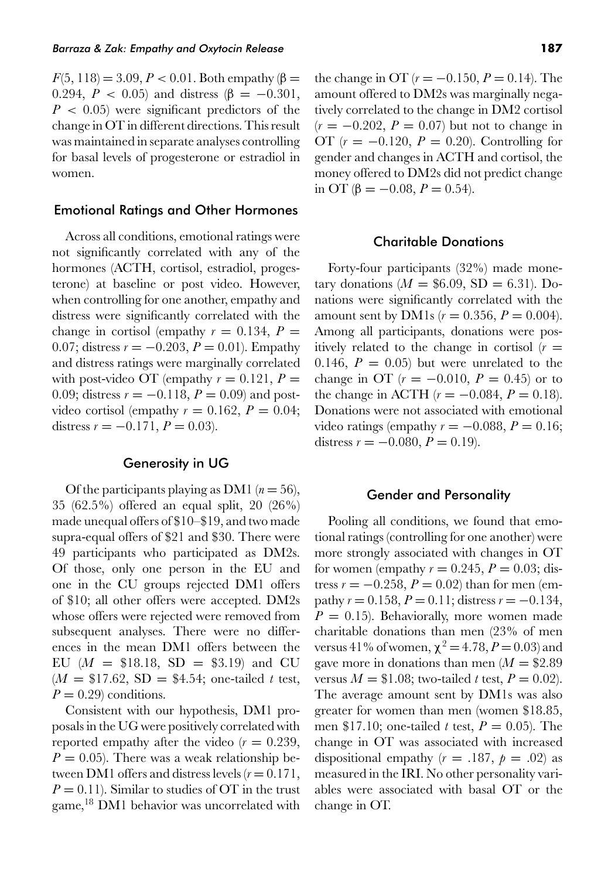$F(5, 118) = 3.09, P < 0.01$ . Both empathy  $\beta =$ 0.294,  $P < 0.05$ ) and distress ( $\beta = -0.301$ ,  $P < 0.05$ ) were significant predictors of the change in OT in different directions. This result was maintained in separate analyses controlling for basal levels of progesterone or estradiol in women.

#### Emotional Ratings and Other Hormones

Across all conditions, emotional ratings were not significantly correlated with any of the hormones (ACTH, cortisol, estradiol, progesterone) at baseline or post video. However, when controlling for one another, empathy and distress were significantly correlated with the change in cortisol (empathy  $r = 0.134$ ,  $P =$ 0.07; distress  $r = -0.203$ ,  $P = 0.01$ ). Empathy and distress ratings were marginally correlated with post-video OT (empathy  $r = 0.121$ ,  $P =$ 0.09; distress  $r = -0.118$ ,  $P = 0.09$  and postvideo cortisol (empathy  $r = 0.162$ ,  $P = 0.04$ ; distress  $r = -0.171$ ,  $P = 0.03$ ).

# Generosity in UG

Of the participants playing as DM1 ( $n = 56$ ), 35 (62.5%) offered an equal split, 20 (26%) made unequal offers of \$10–\$19, and two made supra-equal offers of \$21 and \$30. There were 49 participants who participated as DM2s. Of those, only one person in the EU and one in the CU groups rejected DM1 offers of \$10; all other offers were accepted. DM2s whose offers were rejected were removed from subsequent analyses. There were no differences in the mean DM1 offers between the EU  $(M = $18.18, SD = $3.19)$  and CU  $(M = $17.62, SD = $4.54;$  one-tailed *t* test,  $P = 0.29$  conditions.

Consistent with our hypothesis, DM1 proposals in the UG were positively correlated with reported empathy after the video  $(r = 0.239)$ ,  $P = 0.05$ ). There was a weak relationship between DM1 offers and distress levels  $(r = 0.171,$  $P = 0.11$ . Similar to studies of OT in the trust game, $^{18}$  DM1 behavior was uncorrelated with the change in OT ( $r = -0.150, P = 0.14$ ). The amount offered to DM2s was marginally negatively correlated to the change in DM2 cortisol  $(r = -0.202, P = 0.07)$  but not to change in OT  $(r = -0.120, P = 0.20)$ . Controlling for gender and changes in ACTH and cortisol, the money offered to DM2s did not predict change in OT ( $\beta = -0.08$ ,  $P = 0.54$ ).

# Charitable Donations

Forty-four participants (32%) made monetary donations  $(M = $6.09, SD = 6.31)$ . Donations were significantly correlated with the amount sent by DM1s ( $r = 0.356$ ,  $P = 0.004$ ). Among all participants, donations were positively related to the change in cortisol  $(r =$ 0.146,  $P = 0.05$  but were unrelated to the change in OT ( $r = -0.010$ ,  $P = 0.45$ ) or to the change in ACTH  $(r = -0.084, P = 0.18)$ . Donations were not associated with emotional video ratings (empathy  $r = -0.088$ ,  $P = 0.16$ ; distress  $r = -0.080, P = 0.19$ .

#### Gender and Personality

Pooling all conditions, we found that emotional ratings (controlling for one another) were more strongly associated with changes in OT for women (empathy  $r = 0.245$ ,  $P = 0.03$ ; distress  $r = -0.258$ ,  $P = 0.02$ ) than for men (empathy  $r = 0.158$ ,  $P = 0.11$ ; distress  $r = -0.134$ ,  $P = 0.15$ . Behaviorally, more women made charitable donations than men (23% of men versus 41% of women,  $\chi^2 = 4.78, P = 0.03$ ) and gave more in donations than men  $(M = $2.89)$ versus  $M = $1.08$ ; two-tailed t test,  $P = 0.02$ ). The average amount sent by DM1s was also greater for women than men (women \$18.85, men \$17.10; one-tailed *t* test,  $P = 0.05$ ). The change in OT was associated with increased dispositional empathy  $(r = .187, p = .02)$  as measured in the IRI. No other personality variables were associated with basal OT or the change in OT.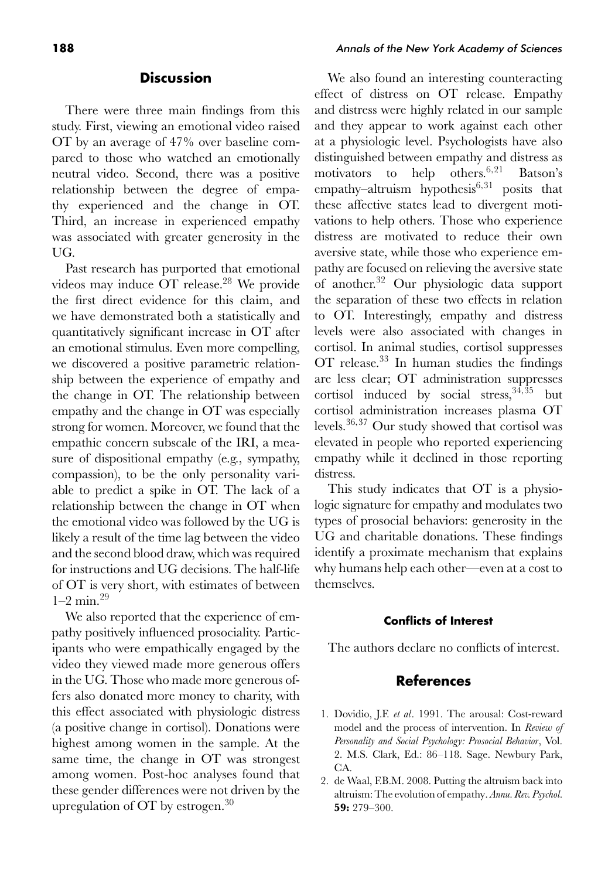# **Discussion**

There were three main findings from this study. First, viewing an emotional video raised OT by an average of 47% over baseline compared to those who watched an emotionally neutral video. Second, there was a positive relationship between the degree of empathy experienced and the change in OT. Third, an increase in experienced empathy was associated with greater generosity in the UG.

Past research has purported that emotional videos may induce OT release.<sup>28</sup> We provide the first direct evidence for this claim, and we have demonstrated both a statistically and quantitatively significant increase in OT after an emotional stimulus. Even more compelling, we discovered a positive parametric relationship between the experience of empathy and the change in OT. The relationship between empathy and the change in OT was especially strong for women. Moreover, we found that the empathic concern subscale of the IRI, a measure of dispositional empathy (e.g., sympathy, compassion), to be the only personality variable to predict a spike in OT. The lack of a relationship between the change in OT when the emotional video was followed by the UG is likely a result of the time lag between the video and the second blood draw, which was required for instructions and UG decisions. The half-life of OT is very short, with estimates of between  $1-2$  min.<sup>29</sup>

We also reported that the experience of empathy positively influenced prosociality. Participants who were empathically engaged by the video they viewed made more generous offers in the UG. Those who made more generous offers also donated more money to charity, with this effect associated with physiologic distress (a positive change in cortisol). Donations were highest among women in the sample. At the same time, the change in OT was strongest among women. Post-hoc analyses found that these gender differences were not driven by the upregulation of  $OT$  by estrogen.<sup>30</sup>

We also found an interesting counteracting effect of distress on OT release. Empathy and distress were highly related in our sample and they appear to work against each other at a physiologic level. Psychologists have also distinguished between empathy and distress as motivators to help others.<sup>6,21</sup> Batson's empathy–altruism hypothesis $6,31$  posits that these affective states lead to divergent motivations to help others. Those who experience distress are motivated to reduce their own aversive state, while those who experience empathy are focused on relieving the aversive state of another.32 Our physiologic data support the separation of these two effects in relation to OT. Interestingly, empathy and distress levels were also associated with changes in cortisol. In animal studies, cortisol suppresses  $OT$  release.<sup>33</sup> In human studies the findings are less clear; OT administration suppresses cortisol induced by social stress,  $34,35$  but cortisol administration increases plasma OT levels.36,<sup>37</sup> Our study showed that cortisol was elevated in people who reported experiencing empathy while it declined in those reporting distress.

This study indicates that OT is a physiologic signature for empathy and modulates two types of prosocial behaviors: generosity in the UG and charitable donations. These findings identify a proximate mechanism that explains why humans help each other—even at a cost to themselves.

#### **Conflicts of Interest**

The authors declare no conflicts of interest.

# **References**

- 1. Dovidio, J.F. *et al*. 1991. The arousal: Cost-reward model and the process of intervention. In *Review of Personality and Social Psychology: Prosocial Behavior*, Vol. 2. M.S. Clark, Ed.: 86–118. Sage. Newbury Park, CA.
- 2. de Waal, F.B.M. 2008. Putting the altruism back into altruism: The evolution of empathy. *Annu. Rev. Psychol.* **59:** 279–300.